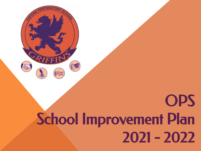

# **OPS** School Improvement Plan 2021 - 2022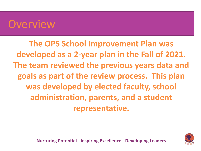### **Overview**

**The OPS School Improvement Plan was developed as a 2-year plan in the Fall of 2021. The team reviewed the previous years data and goals as part of the review process. This plan was developed by elected faculty, school administration, parents, and a student representative.** 

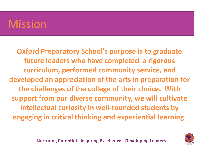## **Mission**

**Oxford Preparatory School's purpose is to graduate future leaders who have completed a rigorous curriculum, performed community service, and developed an appreciation of the arts in preparation for the challenges of the college of their choice. With support from our diverse community, we will cultivate intellectual curiosity in well-rounded students by engaging in critical thinking and experiential learning.**

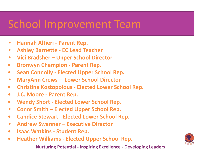### School Improvement Team

- **• Hannah Altieri Parent Rep.**
- **• Ashley Barnette EC Lead Teacher**
- **• Vici Bradsher Upper School Director**
- **• Bronwyn Champion Parent Rep.**
- **• Sean Connolly Elected Upper School Rep.**
- **• MaryAnn Crews Lower School Director**
- **• Christina Kostopolous Elected Lower School Rep.**
- **• J.C. Moore Parent Rep.**
- **• Wendy Short Elected Lower School Rep.**
- **• Conor Smith Elected Upper School Rep.**
- **• Candice Stewart Elected Lower School Rep.**
- **• Andrew Swanner Executive Director**
- **• Isaac Watkins Student Rep.**
- **• Heather Williams Elected Upper School Rep.**

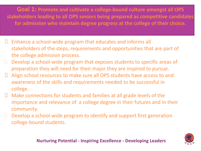**Goal 1: Promote and cultivate a college-bound culture amongst all OPS stakeholders leading to all OPS seniors being prepared as competitive candidates for admission who maintain degree progress at the college of their choice.**

- $\Box$  Enhance a school-wide program that educates and informs all stakeholders of the steps, requirements and opportunities that are part of the college admission process.
- $\Box$  Develop a school-wide program that exposes students to specific areas of preparation they will need for their major they are inspired to pursue.
- Align school resources to make sure all OPS students have access to and awareness of the skills and requirements needed to be successful in college.
- $\Box$  Make connections for students and families at all grade levels of the importance and relevance of a college degree in their futures and in their community.
- $\Box$  Develop a school-wide program to identify and support first generation college-bound students.

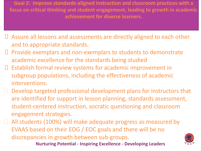**Goal 2: Improve standards-aligned instruction and classroom practices with a focus on critical thinking and student engagement, leading to growth in academic achievement for diverse learners.**

- Assure all lessons and assessments are directly aligned to each other and to appropriate standards.
- $\Box$  Provide exemplars and non-exemplars to students to demonstrate academic excellence for the standards being studied
- $\Box$  Establish formal review systems for academic improvement in subgroup populations, including the effectiveness of academic interventions.
- $\Box$  Develop targeted professional development plans for instructors that are identified for support in lesson planning, standards assessment, student-centered instruction, socratic questioning and classroom engagement strategies.

□ All students (100%) will make adequate progress as measured by EVAAS based on their EOG / EOC goals and there will be no discrepancies in growth between sub-groups.

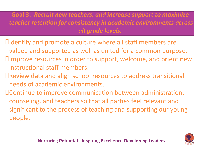**Goal 3:** *Recruit new teachers, and increase support to maximize teacher retention for consistency in academic environments across all grade levels.* 

- Identify and promote a culture where all staff members are valued and supported as well as united for a common purpose. Improve resources in order to support, welcome, and orient new instructional staff members.
- Review data and align school resources to address transitional needs of academic environments.
- Continue to improve communication between administration, counseling, and teachers so that all parties feel relevant and significant to the process of teaching and supporting our young people.

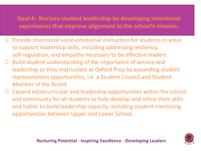#### **Goal 4: Nurture student leadership by developing intentional experiences that improve alignment to the school's mission.**

- $\Box$  Provide intentional socio-emotional instruction for students in areas to support leadership skills, including addressing resiliency, self-regulation, and empathy necessary to be effective leaders.
- $\Box$  Build student understanding of the importance of service and leadership as they matriculate at Oxford Prep by expanding student representation opportunities, i.e. a Student Council and Student Member of the Board.
- $\Box$  Expand extracurricular and leadership opportunities within the school and community for all students to help develop and refine their skills and habits to build leadership capacity, including student mentoring opportunities between Upper and Lower School.